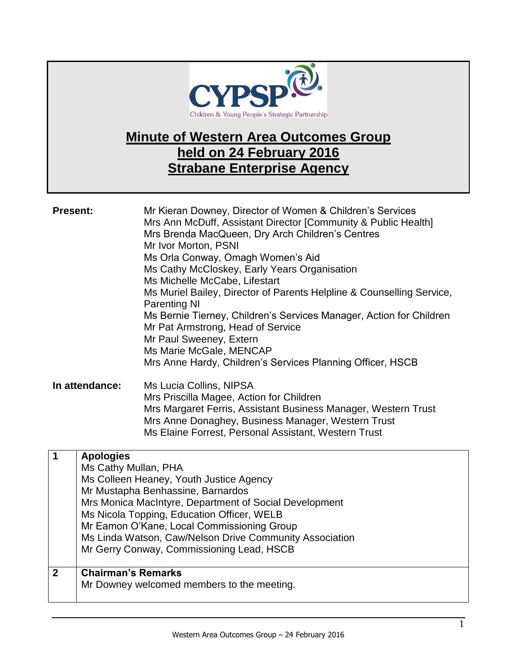

# **Minute of Western Area Outcomes Group held on 24 February 2016 Strabane Enterprise Agency**

**Present:** Mr Kieran Downey, Director of Women & Children's Services Mrs Ann McDuff, Assistant Director [Community & Public Health] Mrs Brenda MacQueen, Dry Arch Children's Centres Mr Ivor Morton, PSNI Ms Orla Conway, Omagh Women's Aid Ms Cathy McCloskey, Early Years Organisation Ms Michelle McCabe, Lifestart Ms Muriel Bailey, Director of Parents Helpline & Counselling Service, Parenting NI Ms Bernie Tierney, Children's Services Manager, Action for Children Mr Pat Armstrong, Head of Service Mr Paul Sweeney, Extern Ms Marie McGale, MENCAP Mrs Anne Hardy, Children's Services Planning Officer, HSCB **In attendance:** Ms Lucia Collins, NIPSA

Mrs Priscilla Magee, Action for Children Mrs Margaret Ferris, Assistant Business Manager, Western Trust Mrs Anne Donaghey, Business Manager, Western Trust Ms Elaine Forrest, Personal Assistant, Western Trust

|              | <b>Apologies</b>                                        |
|--------------|---------------------------------------------------------|
|              | Ms Cathy Mullan, PHA                                    |
|              | Ms Colleen Heaney, Youth Justice Agency                 |
|              | Mr Mustapha Benhassine, Barnardos                       |
|              | Mrs Monica MacIntyre, Department of Social Development  |
|              | Ms Nicola Topping, Education Officer, WELB              |
|              | Mr Eamon O'Kane, Local Commissioning Group              |
|              | Ms Linda Watson, Caw/Nelson Drive Community Association |
|              | Mr Gerry Conway, Commissioning Lead, HSCB               |
|              |                                                         |
| $\mathbf{2}$ | <b>Chairman's Remarks</b>                               |
|              | Mr Downey welcomed members to the meeting.              |
|              |                                                         |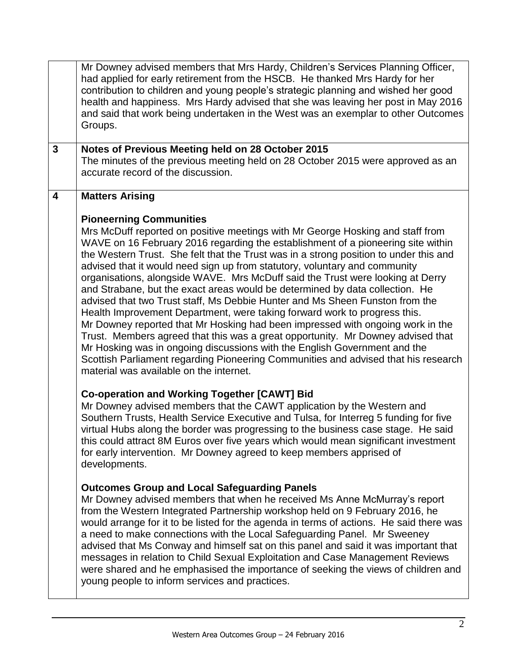| had applied for early retirement from the HSCB. He thanked Mrs Hardy for her<br>contribution to children and young people's strategic planning and wished her good<br>health and happiness. Mrs Hardy advised that she was leaving her post in May 2016<br>and said that work being undertaken in the West was an exemplar to other Outcomes<br>Groups.                                                                                                                                                                                                                                                                                                                                                                                                                                                                                                                                                                                                                                                                                                                                                                                                                                                                                                                                                                                                                                                                                                                                                                                                                                                                                                                                                                                                                                                                                                                                                                                                                                                                                                                                                                                                                                                                                                                                                  |  |
|----------------------------------------------------------------------------------------------------------------------------------------------------------------------------------------------------------------------------------------------------------------------------------------------------------------------------------------------------------------------------------------------------------------------------------------------------------------------------------------------------------------------------------------------------------------------------------------------------------------------------------------------------------------------------------------------------------------------------------------------------------------------------------------------------------------------------------------------------------------------------------------------------------------------------------------------------------------------------------------------------------------------------------------------------------------------------------------------------------------------------------------------------------------------------------------------------------------------------------------------------------------------------------------------------------------------------------------------------------------------------------------------------------------------------------------------------------------------------------------------------------------------------------------------------------------------------------------------------------------------------------------------------------------------------------------------------------------------------------------------------------------------------------------------------------------------------------------------------------------------------------------------------------------------------------------------------------------------------------------------------------------------------------------------------------------------------------------------------------------------------------------------------------------------------------------------------------------------------------------------------------------------------------------------------------|--|
| $\mathbf{3}$<br>Notes of Previous Meeting held on 28 October 2015<br>The minutes of the previous meeting held on 28 October 2015 were approved as an<br>accurate record of the discussion.                                                                                                                                                                                                                                                                                                                                                                                                                                                                                                                                                                                                                                                                                                                                                                                                                                                                                                                                                                                                                                                                                                                                                                                                                                                                                                                                                                                                                                                                                                                                                                                                                                                                                                                                                                                                                                                                                                                                                                                                                                                                                                               |  |
| <b>Matters Arising</b><br>$\overline{\mathbf{4}}$<br><b>Pioneerning Communities</b><br>Mrs McDuff reported on positive meetings with Mr George Hosking and staff from<br>WAVE on 16 February 2016 regarding the establishment of a pioneering site within<br>the Western Trust. She felt that the Trust was in a strong position to under this and<br>advised that it would need sign up from statutory, voluntary and community<br>organisations, alongside WAVE. Mrs McDuff said the Trust were looking at Derry<br>and Strabane, but the exact areas would be determined by data collection. He<br>advised that two Trust staff, Ms Debbie Hunter and Ms Sheen Funston from the<br>Health Improvement Department, were taking forward work to progress this.<br>Mr Downey reported that Mr Hosking had been impressed with ongoing work in the<br>Trust. Members agreed that this was a great opportunity. Mr Downey advised that<br>Mr Hosking was in ongoing discussions with the English Government and the<br>Scottish Parliament regarding Pioneering Communities and advised that his research<br>material was available on the internet.<br><b>Co-operation and Working Together [CAWT] Bid</b><br>Mr Downey advised members that the CAWT application by the Western and<br>Southern Trusts, Health Service Executive and Tulsa, for Interreg 5 funding for five<br>virtual Hubs along the border was progressing to the business case stage. He said<br>this could attract 8M Euros over five years which would mean significant investment<br>for early intervention. Mr Downey agreed to keep members apprised of<br>developments.<br><b>Outcomes Group and Local Safeguarding Panels</b><br>Mr Downey advised members that when he received Ms Anne McMurray's report<br>from the Western Integrated Partnership workshop held on 9 February 2016, he<br>would arrange for it to be listed for the agenda in terms of actions. He said there was<br>a need to make connections with the Local Safeguarding Panel. Mr Sweeney<br>advised that Ms Conway and himself sat on this panel and said it was important that<br>messages in relation to Child Sexual Exploitation and Case Management Reviews<br>were shared and he emphasised the importance of seeking the views of children and |  |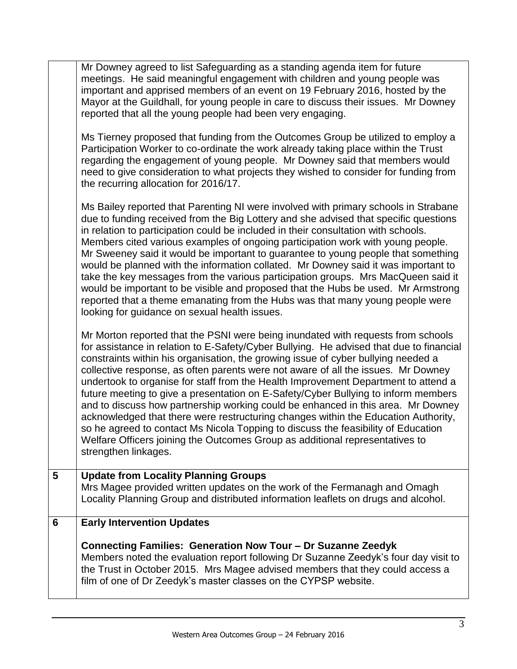|   | Mr Downey agreed to list Safeguarding as a standing agenda item for future<br>meetings. He said meaningful engagement with children and young people was<br>important and apprised members of an event on 19 February 2016, hosted by the<br>Mayor at the Guildhall, for young people in care to discuss their issues. Mr Downey<br>reported that all the young people had been very engaging.                                                                                                                                                                                                                                                                                                                                                                                                                                                                                                           |
|---|----------------------------------------------------------------------------------------------------------------------------------------------------------------------------------------------------------------------------------------------------------------------------------------------------------------------------------------------------------------------------------------------------------------------------------------------------------------------------------------------------------------------------------------------------------------------------------------------------------------------------------------------------------------------------------------------------------------------------------------------------------------------------------------------------------------------------------------------------------------------------------------------------------|
|   | Ms Tierney proposed that funding from the Outcomes Group be utilized to employ a<br>Participation Worker to co-ordinate the work already taking place within the Trust<br>regarding the engagement of young people. Mr Downey said that members would<br>need to give consideration to what projects they wished to consider for funding from<br>the recurring allocation for 2016/17.                                                                                                                                                                                                                                                                                                                                                                                                                                                                                                                   |
|   | Ms Bailey reported that Parenting NI were involved with primary schools in Strabane<br>due to funding received from the Big Lottery and she advised that specific questions<br>in relation to participation could be included in their consultation with schools.<br>Members cited various examples of ongoing participation work with young people.<br>Mr Sweeney said it would be important to guarantee to young people that something<br>would be planned with the information collated. Mr Downey said it was important to<br>take the key messages from the various participation groups. Mrs MacQueen said it<br>would be important to be visible and proposed that the Hubs be used. Mr Armstrong<br>reported that a theme emanating from the Hubs was that many young people were<br>looking for guidance on sexual health issues.                                                              |
|   | Mr Morton reported that the PSNI were being inundated with requests from schools<br>for assistance in relation to E-Safety/Cyber Bullying. He advised that due to financial<br>constraints within his organisation, the growing issue of cyber bullying needed a<br>collective response, as often parents were not aware of all the issues. Mr Downey<br>undertook to organise for staff from the Health Improvement Department to attend a<br>future meeting to give a presentation on E-Safety/Cyber Bullying to inform members<br>and to discuss how partnership working could be enhanced in this area. Mr Downey<br>acknowledged that there were restructuring changes within the Education Authority,<br>so he agreed to contact Ms Nicola Topping to discuss the feasibility of Education<br>Welfare Officers joining the Outcomes Group as additional representatives to<br>strengthen linkages. |
| 5 | <b>Update from Locality Planning Groups</b><br>Mrs Magee provided written updates on the work of the Fermanagh and Omagh<br>Locality Planning Group and distributed information leaflets on drugs and alcohol.                                                                                                                                                                                                                                                                                                                                                                                                                                                                                                                                                                                                                                                                                           |
| 6 | <b>Early Intervention Updates</b>                                                                                                                                                                                                                                                                                                                                                                                                                                                                                                                                                                                                                                                                                                                                                                                                                                                                        |
|   | Connecting Families: Generation Now Tour - Dr Suzanne Zeedyk<br>Members noted the evaluation report following Dr Suzanne Zeedyk's four day visit to<br>the Trust in October 2015. Mrs Magee advised members that they could access a<br>film of one of Dr Zeedyk's master classes on the CYPSP website.                                                                                                                                                                                                                                                                                                                                                                                                                                                                                                                                                                                                  |
|   |                                                                                                                                                                                                                                                                                                                                                                                                                                                                                                                                                                                                                                                                                                                                                                                                                                                                                                          |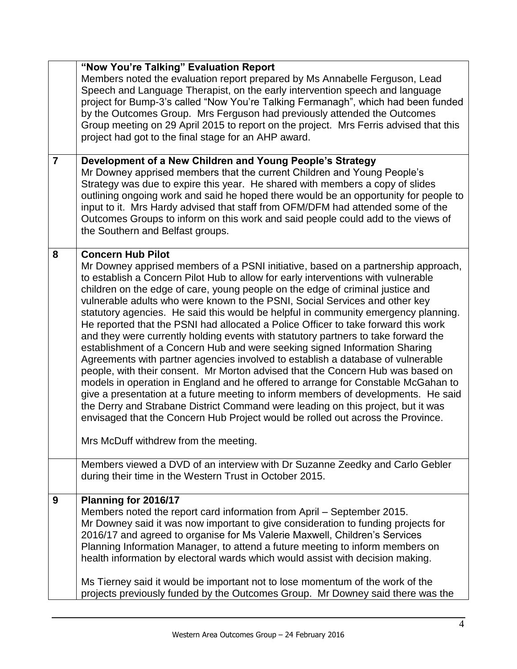|                | "Now You're Talking" Evaluation Report                                                                                                                                   |
|----------------|--------------------------------------------------------------------------------------------------------------------------------------------------------------------------|
|                | Members noted the evaluation report prepared by Ms Annabelle Ferguson, Lead                                                                                              |
|                | Speech and Language Therapist, on the early intervention speech and language                                                                                             |
|                | project for Bump-3's called "Now You're Talking Fermanagh", which had been funded                                                                                        |
|                | by the Outcomes Group. Mrs Ferguson had previously attended the Outcomes<br>Group meeting on 29 April 2015 to report on the project. Mrs Ferris advised that this        |
|                | project had got to the final stage for an AHP award.                                                                                                                     |
|                |                                                                                                                                                                          |
| $\overline{7}$ | Development of a New Children and Young People's Strategy                                                                                                                |
|                | Mr Downey apprised members that the current Children and Young People's                                                                                                  |
|                | Strategy was due to expire this year. He shared with members a copy of slides                                                                                            |
|                | outlining ongoing work and said he hoped there would be an opportunity for people to                                                                                     |
|                | input to it. Mrs Hardy advised that staff from OFM/DFM had attended some of the                                                                                          |
|                | Outcomes Groups to inform on this work and said people could add to the views of                                                                                         |
|                | the Southern and Belfast groups.                                                                                                                                         |
| 8              | <b>Concern Hub Pilot</b>                                                                                                                                                 |
|                | Mr Downey apprised members of a PSNI initiative, based on a partnership approach,                                                                                        |
|                | to establish a Concern Pilot Hub to allow for early interventions with vulnerable                                                                                        |
|                | children on the edge of care, young people on the edge of criminal justice and                                                                                           |
|                | vulnerable adults who were known to the PSNI, Social Services and other key                                                                                              |
|                | statutory agencies. He said this would be helpful in community emergency planning.<br>He reported that the PSNI had allocated a Police Officer to take forward this work |
|                | and they were currently holding events with statutory partners to take forward the                                                                                       |
|                | establishment of a Concern Hub and were seeking signed Information Sharing                                                                                               |
|                | Agreements with partner agencies involved to establish a database of vulnerable                                                                                          |
|                | people, with their consent. Mr Morton advised that the Concern Hub was based on                                                                                          |
|                | models in operation in England and he offered to arrange for Constable McGahan to                                                                                        |
|                | give a presentation at a future meeting to inform members of developments. He said                                                                                       |
|                | the Derry and Strabane District Command were leading on this project, but it was                                                                                         |
|                | envisaged that the Concern Hub Project would be rolled out across the Province.                                                                                          |
|                |                                                                                                                                                                          |
|                | Mrs McDuff withdrew from the meeting.                                                                                                                                    |
|                | Members viewed a DVD of an interview with Dr Suzanne Zeedky and Carlo Gebler                                                                                             |
|                | during their time in the Western Trust in October 2015.                                                                                                                  |
| 9              | Planning for 2016/17                                                                                                                                                     |
|                | Members noted the report card information from April - September 2015.                                                                                                   |
|                | Mr Downey said it was now important to give consideration to funding projects for                                                                                        |
|                | 2016/17 and agreed to organise for Ms Valerie Maxwell, Children's Services                                                                                               |
|                | Planning Information Manager, to attend a future meeting to inform members on                                                                                            |
|                | health information by electoral wards which would assist with decision making.                                                                                           |
|                | Ms Tierney said it would be important not to lose momentum of the work of the                                                                                            |
|                | projects previously funded by the Outcomes Group. Mr Downey said there was the                                                                                           |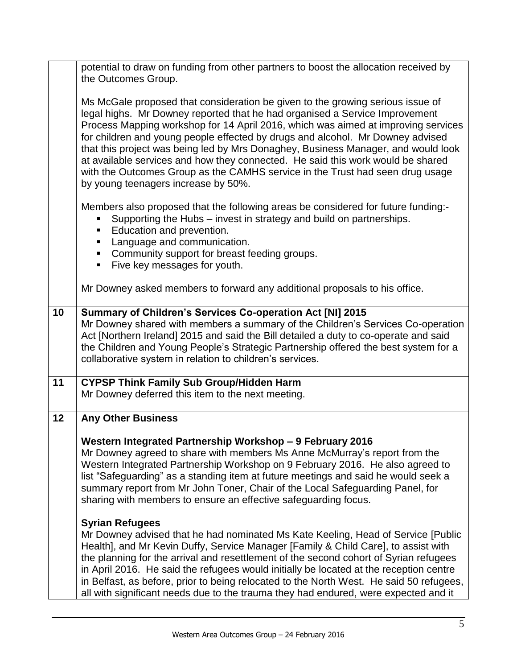|    | potential to draw on funding from other partners to boost the allocation received by<br>the Outcomes Group.                                                                                                                                                                                                                                                                                                                                                                                                                                                                                                                          |
|----|--------------------------------------------------------------------------------------------------------------------------------------------------------------------------------------------------------------------------------------------------------------------------------------------------------------------------------------------------------------------------------------------------------------------------------------------------------------------------------------------------------------------------------------------------------------------------------------------------------------------------------------|
|    | Ms McGale proposed that consideration be given to the growing serious issue of<br>legal highs. Mr Downey reported that he had organised a Service Improvement<br>Process Mapping workshop for 14 April 2016, which was aimed at improving services<br>for children and young people effected by drugs and alcohol. Mr Downey advised<br>that this project was being led by Mrs Donaghey, Business Manager, and would look<br>at available services and how they connected. He said this work would be shared<br>with the Outcomes Group as the CAMHS service in the Trust had seen drug usage<br>by young teenagers increase by 50%. |
|    | Members also proposed that the following areas be considered for future funding:-<br>Supporting the Hubs - invest in strategy and build on partnerships.<br>Education and prevention.<br>Language and communication.<br>ш<br>Community support for breast feeding groups.<br>Five key messages for youth.<br>п.                                                                                                                                                                                                                                                                                                                      |
|    | Mr Downey asked members to forward any additional proposals to his office.                                                                                                                                                                                                                                                                                                                                                                                                                                                                                                                                                           |
| 10 | Summary of Children's Services Co-operation Act [NI] 2015<br>Mr Downey shared with members a summary of the Children's Services Co-operation<br>Act [Northern Ireland] 2015 and said the Bill detailed a duty to co-operate and said<br>the Children and Young People's Strategic Partnership offered the best system for a<br>collaborative system in relation to children's services.                                                                                                                                                                                                                                              |
| 11 | <b>CYPSP Think Family Sub Group/Hidden Harm</b><br>Mr Downey deferred this item to the next meeting.                                                                                                                                                                                                                                                                                                                                                                                                                                                                                                                                 |
| 12 | <b>Any Other Business</b>                                                                                                                                                                                                                                                                                                                                                                                                                                                                                                                                                                                                            |
|    | Western Integrated Partnership Workshop - 9 February 2016<br>Mr Downey agreed to share with members Ms Anne McMurray's report from the<br>Western Integrated Partnership Workshop on 9 February 2016. He also agreed to<br>list "Safeguarding" as a standing item at future meetings and said he would seek a<br>summary report from Mr John Toner, Chair of the Local Safeguarding Panel, for<br>sharing with members to ensure an effective safeguarding focus.                                                                                                                                                                    |
|    | <b>Syrian Refugees</b><br>Mr Downey advised that he had nominated Ms Kate Keeling, Head of Service [Public]<br>Health], and Mr Kevin Duffy, Service Manager [Family & Child Care], to assist with<br>the planning for the arrival and resettlement of the second cohort of Syrian refugees<br>in April 2016. He said the refugees would initially be located at the reception centre<br>in Belfast, as before, prior to being relocated to the North West. He said 50 refugees,<br>all with significant needs due to the trauma they had endured, were expected and it                                                               |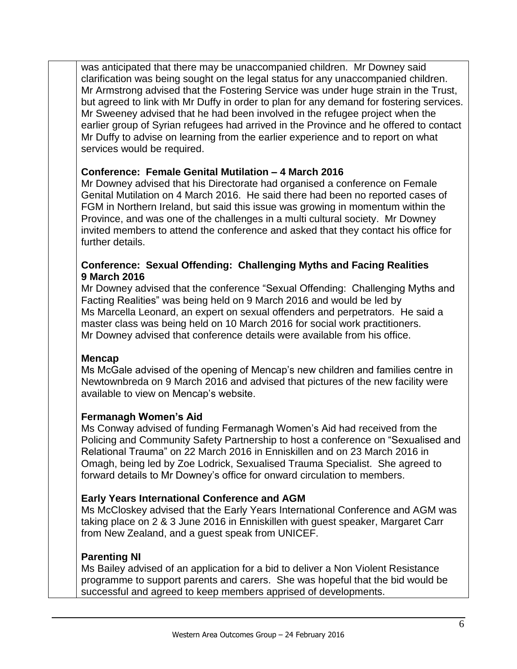was anticipated that there may be unaccompanied children. Mr Downey said clarification was being sought on the legal status for any unaccompanied children. Mr Armstrong advised that the Fostering Service was under huge strain in the Trust, but agreed to link with Mr Duffy in order to plan for any demand for fostering services. Mr Sweeney advised that he had been involved in the refugee project when the earlier group of Syrian refugees had arrived in the Province and he offered to contact Mr Duffy to advise on learning from the earlier experience and to report on what services would be required.

## **Conference: Female Genital Mutilation – 4 March 2016**

Mr Downey advised that his Directorate had organised a conference on Female Genital Mutilation on 4 March 2016. He said there had been no reported cases of FGM in Northern Ireland, but said this issue was growing in momentum within the Province, and was one of the challenges in a multi cultural society. Mr Downey invited members to attend the conference and asked that they contact his office for further details.

### **Conference: Sexual Offending: Challenging Myths and Facing Realities 9 March 2016**

Mr Downey advised that the conference "Sexual Offending: Challenging Myths and Facting Realities" was being held on 9 March 2016 and would be led by Ms Marcella Leonard, an expert on sexual offenders and perpetrators. He said a master class was being held on 10 March 2016 for social work practitioners. Mr Downey advised that conference details were available from his office.

#### **Mencap**

Ms McGale advised of the opening of Mencap's new children and families centre in Newtownbreda on 9 March 2016 and advised that pictures of the new facility were available to view on Mencap's website.

#### **Fermanagh Women's Aid**

Ms Conway advised of funding Fermanagh Women's Aid had received from the Policing and Community Safety Partnership to host a conference on "Sexualised and Relational Trauma" on 22 March 2016 in Enniskillen and on 23 March 2016 in Omagh, being led by Zoe Lodrick, Sexualised Trauma Specialist. She agreed to forward details to Mr Downey's office for onward circulation to members.

## **Early Years International Conference and AGM**

Ms McCloskey advised that the Early Years International Conference and AGM was taking place on 2 & 3 June 2016 in Enniskillen with guest speaker, Margaret Carr from New Zealand, and a guest speak from UNICEF.

#### **Parenting NI**

Ms Bailey advised of an application for a bid to deliver a Non Violent Resistance programme to support parents and carers. She was hopeful that the bid would be successful and agreed to keep members apprised of developments.